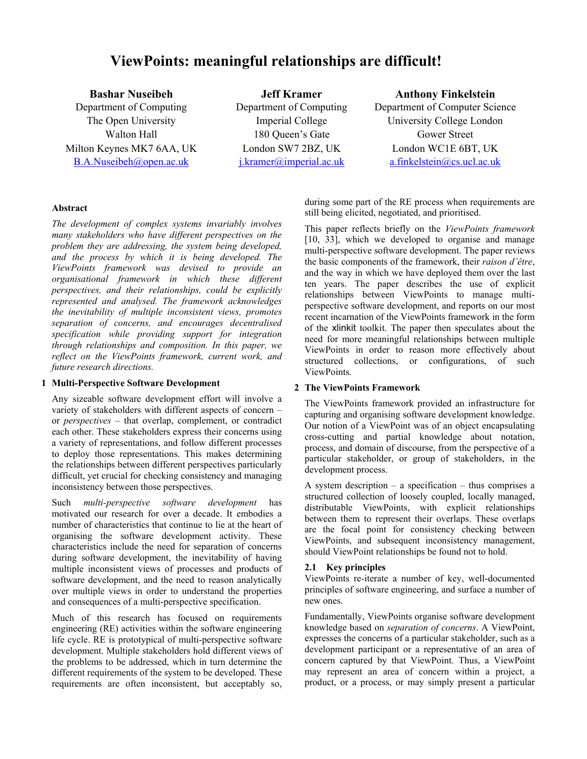# **ViewPoints: meaningful relationships are difficult!**

Milton Keynes MK7 6AA, UK London SW7 2BZ, UK London WC1E 6BT, UK [B.A.Nuseibeh@open.ac.uk](mailto:B.A.Nuseibeh@open.ac.uk) [j.kramer@imperial.ac.uk](mailto:j.kramer@imperial.ac.uk) [a.finkelstein@cs.ucl.ac.uk](mailto:a.finkelstein@cs.ucl.ac.uk)

**Bashar Nuseibeh Jeff Kramer Anthony Finkelstein**  Walton Hall 180 Queen's Gate Gower Street

Department of Computing Department of Computing Department of Computer Science The Open University **Imperial College** University College London

#### **Abstract**

*The development of complex systems invariably involves many stakeholders who have different perspectives on the problem they are addressing, the system being developed, and the process by which it is being developed. The ViewPoints framework was devised to provide an organisational framework in which these different perspectives, and their relationships, could be explicitly represented and analysed. The framework acknowledges the inevitability of multiple inconsistent views, promotes separation of concerns, and encourages decentralised specification while providing support for integration through relationships and composition. In this paper, we reflect on the ViewPoints framework, current work, and future research directions.* 

# **1 Multi-Perspective Software Development**

Any sizeable software development effort will involve a variety of stakeholders with different aspects of concern – or *perspectives* – that overlap, complement, or contradict each other. These stakeholders express their concerns using a variety of representations, and follow different processes to deploy those representations. This makes determining the relationships between different perspectives particularly difficult, yet crucial for checking consistency and managing inconsistency between those perspectives.

Such *multi-perspective software development* has motivated our research for over a decade. It embodies a number of characteristics that continue to lie at the heart of organising the software development activity. These characteristics include the need for separation of concerns during software development, the inevitability of having multiple inconsistent views of processes and products of software development, and the need to reason analytically over multiple views in order to understand the properties and consequences of a multi-perspective specification.

Much of this research has focused on requirements engineering (RE) activities within the software engineering life cycle. RE is prototypical of multi-perspective software development. Multiple stakeholders hold different views of the problems to be addressed, which in turn determine the different requirements of the system to be developed. These requirements are often inconsistent, but acceptably so,

during some part of the RE process when requirements are still being elicited, negotiated, and prioritised.

This paper reflects briefly on the *ViewPoints framework*  [10, 33], which we developed to organise and manage multi-perspective software development. The paper reviews the basic components of the framework, their *raison d'être*, and the way in which we have deployed them over the last ten years. The paper describes the use of explicit relationships between ViewPoints to manage multiperspective software development, and reports on our most recent incarnation of the ViewPoints framework in the form of the xlinkit toolkit. The paper then speculates about the need for more meaningful relationships between multiple ViewPoints in order to reason more effectively about structured collections, or configurations, of such ViewPoints.

#### **2 The ViewPoints Framework**

The ViewPoints framework provided an infrastructure for capturing and organising software development knowledge. Our notion of a ViewPoint was of an object encapsulating cross-cutting and partial knowledge about notation, process, and domain of discourse, from the perspective of a particular stakeholder, or group of stakeholders, in the development process.

A system description – a specification – thus comprises a structured collection of loosely coupled, locally managed, distributable ViewPoints, with explicit relationships between them to represent their overlaps. These overlaps are the focal point for consistency checking between ViewPoints, and subsequent inconsistency management, should ViewPoint relationships be found not to hold.

#### **2.1 Key principles**

ViewPoints re-iterate a number of key, well-documented principles of software engineering, and surface a number of new ones.

Fundamentally, ViewPoints organise software development knowledge based on *separation of concerns*. A ViewPoint, expresses the concerns of a particular stakeholder, such as a development participant or a representative of an area of concern captured by that ViewPoint. Thus, a ViewPoint may represent an area of concern within a project, a product, or a process, or may simply present a particular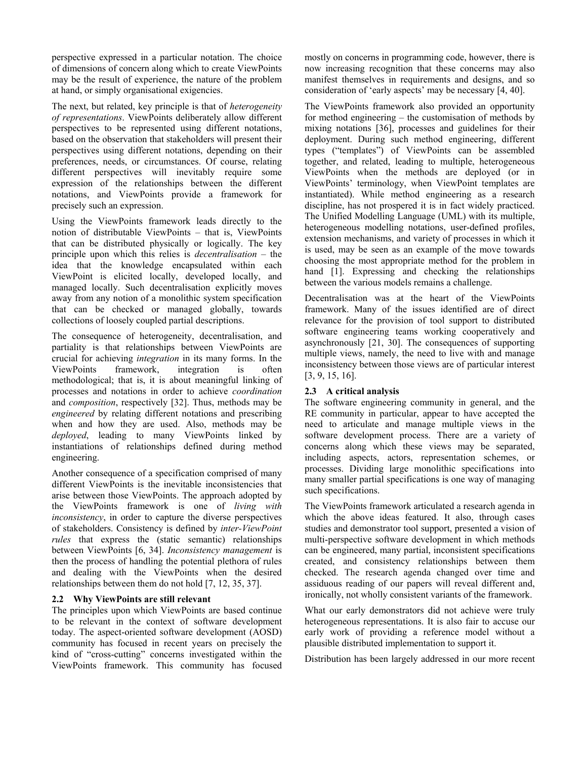perspective expressed in a particular notation. The choice of dimensions of concern along which to create ViewPoints may be the result of experience, the nature of the problem at hand, or simply organisational exigencies.

The next, but related, key principle is that of *heterogeneity of representations*. ViewPoints deliberately allow different perspectives to be represented using different notations, based on the observation that stakeholders will present their perspectives using different notations, depending on their preferences, needs, or circumstances. Of course, relating different perspectives will inevitably require some expression of the relationships between the different notations, and ViewPoints provide a framework for precisely such an expression.

Using the ViewPoints framework leads directly to the notion of distributable ViewPoints – that is, ViewPoints that can be distributed physically or logically. The key principle upon which this relies is *decentralisation* – the idea that the knowledge encapsulated within each ViewPoint is elicited locally, developed locally, and managed locally. Such decentralisation explicitly moves away from any notion of a monolithic system specification that can be checked or managed globally, towards collections of loosely coupled partial descriptions.

The consequence of heterogeneity, decentralisation, and partiality is that relationships between ViewPoints are crucial for achieving *integration* in its many forms. In the ViewPoints framework, integration is often methodological; that is, it is about meaningful linking of processes and notations in order to achieve *coordination* and *composition*, respectively [32]. Thus, methods may be *engineered* by relating different notations and prescribing when and how they are used. Also, methods may be *deployed*, leading to many ViewPoints linked by instantiations of relationships defined during method engineering.

Another consequence of a specification comprised of many different ViewPoints is the inevitable inconsistencies that arise between those ViewPoints. The approach adopted by the ViewPoints framework is one of *living with inconsistency*, in order to capture the diverse perspectives of stakeholders. Consistency is defined by *inter-ViewPoint rules* that express the (static semantic) relationships between ViewPoints [6, 34]. *Inconsistency management* is then the process of handling the potential plethora of rules and dealing with the ViewPoints when the desired relationships between them do not hold [7, 12, 35, 37].

# **2.2 Why ViewPoints are still relevant**

The principles upon which ViewPoints are based continue to be relevant in the context of software development today. The aspect-oriented software development (AOSD) community has focused in recent years on precisely the kind of "cross-cutting" concerns investigated within the ViewPoints framework. This community has focused mostly on concerns in programming code, however, there is now increasing recognition that these concerns may also manifest themselves in requirements and designs, and so consideration of 'early aspects' may be necessary [4, 40].

The ViewPoints framework also provided an opportunity for method engineering – the customisation of methods by mixing notations [36], processes and guidelines for their deployment. During such method engineering, different types ("templates") of ViewPoints can be assembled together, and related, leading to multiple, heterogeneous ViewPoints when the methods are deployed (or in ViewPoints' terminology, when ViewPoint templates are instantiated). While method engineering as a research discipline, has not prospered it is in fact widely practiced. The Unified Modelling Language (UML) with its multiple, heterogeneous modelling notations, user-defined profiles, extension mechanisms, and variety of processes in which it is used, may be seen as an example of the move towards choosing the most appropriate method for the problem in hand [1]. Expressing and checking the relationships between the various models remains a challenge.

Decentralisation was at the heart of the ViewPoints framework. Many of the issues identified are of direct relevance for the provision of tool support to distributed software engineering teams working cooperatively and asynchronously [21, 30]. The consequences of supporting multiple views, namely, the need to live with and manage inconsistency between those views are of particular interest [3, 9, 15, 16].

# **2.3 A critical analysis**

The software engineering community in general, and the RE community in particular, appear to have accepted the need to articulate and manage multiple views in the software development process. There are a variety of concerns along which these views may be separated, including aspects, actors, representation schemes, or processes. Dividing large monolithic specifications into many smaller partial specifications is one way of managing such specifications.

The ViewPoints framework articulated a research agenda in which the above ideas featured. It also, through cases studies and demonstrator tool support, presented a vision of multi-perspective software development in which methods can be engineered, many partial, inconsistent specifications created, and consistency relationships between them checked. The research agenda changed over time and assiduous reading of our papers will reveal different and, ironically, not wholly consistent variants of the framework.

What our early demonstrators did not achieve were truly heterogeneous representations. It is also fair to accuse our early work of providing a reference model without a plausible distributed implementation to support it.

Distribution has been largely addressed in our more recent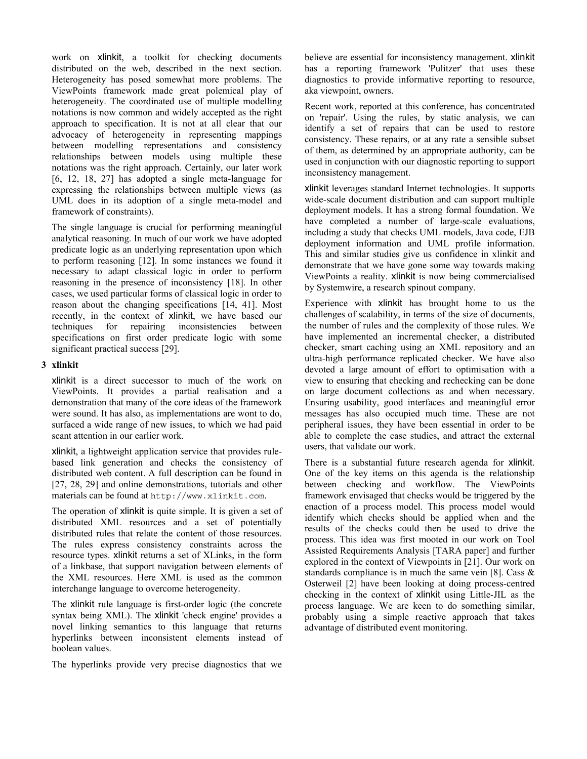work on xlinkit, a toolkit for checking documents distributed on the web, described in the next section. Heterogeneity has posed somewhat more problems. The ViewPoints framework made great polemical play of heterogeneity. The coordinated use of multiple modelling notations is now common and widely accepted as the right approach to specification. It is not at all clear that our advocacy of heterogeneity in representing mappings between modelling representations and consistency relationships between models using multiple these notations was the right approach. Certainly, our later work [6, 12, 18, 27] has adopted a single meta-language for expressing the relationships between multiple views (as UML does in its adoption of a single meta-model and framework of constraints).

The single language is crucial for performing meaningful analytical reasoning. In much of our work we have adopted predicate logic as an underlying representation upon which to perform reasoning [12]. In some instances we found it necessary to adapt classical logic in order to perform reasoning in the presence of inconsistency [18]. In other cases, we used particular forms of classical logic in order to reason about the changing specifications [14, 41]. Most recently, in the context of xlinkit, we have based our techniques for repairing inconsistencies between specifications on first order predicate logic with some significant practical success [29].

# **3 xlinkit**

xlinkit is a direct successor to much of the work on ViewPoints. It provides a partial realisation and a demonstration that many of the core ideas of the framework were sound. It has also, as implementations are wont to do, surfaced a wide range of new issues, to which we had paid scant attention in our earlier work.

xlinkit, a lightweight application service that provides rulebased link generation and checks the consistency of distributed web content. A full description can be found in [27, 28, 29] and online demonstrations, tutorials and other materials can be found at http://www.xlinkit.com.

The operation of xlinkit is quite simple. It is given a set of distributed XML resources and a set of potentially distributed rules that relate the content of those resources. The rules express consistency constraints across the resource types. xlinkit returns a set of XLinks, in the form of a linkbase, that support navigation between elements of the XML resources. Here XML is used as the common interchange language to overcome heterogeneity.

The xlinkit rule language is first-order logic (the concrete syntax being XML). The xlinkit 'check engine' provides a novel linking semantics to this language that returns hyperlinks between inconsistent elements instead of boolean values.

The hyperlinks provide very precise diagnostics that we

believe are essential for inconsistency management. xlinkit has a reporting framework 'Pulitzer' that uses these diagnostics to provide informative reporting to resource, aka viewpoint, owners.

Recent work, reported at this conference, has concentrated on 'repair'. Using the rules, by static analysis, we can identify a set of repairs that can be used to restore consistency. These repairs, or at any rate a sensible subset of them, as determined by an appropriate authority, can be used in conjunction with our diagnostic reporting to support inconsistency management.

xlinkit leverages standard Internet technologies. It supports wide-scale document distribution and can support multiple deployment models. It has a strong formal foundation. We have completed a number of large-scale evaluations, including a study that checks UML models, Java code, EJB deployment information and UML profile information. This and similar studies give us confidence in xlinkit and demonstrate that we have gone some way towards making ViewPoints a reality. xlinkit is now being commercialised by Systemwire, a research spinout company.

Experience with xlinkit has brought home to us the challenges of scalability, in terms of the size of documents, the number of rules and the complexity of those rules. We have implemented an incremental checker, a distributed checker, smart caching using an XML repository and an ultra-high performance replicated checker. We have also devoted a large amount of effort to optimisation with a view to ensuring that checking and rechecking can be done on large document collections as and when necessary. Ensuring usability, good interfaces and meaningful error messages has also occupied much time. These are not peripheral issues, they have been essential in order to be able to complete the case studies, and attract the external users, that validate our work.

There is a substantial future research agenda for xlinkit. One of the key items on this agenda is the relationship between checking and workflow. The ViewPoints framework envisaged that checks would be triggered by the enaction of a process model. This process model would identify which checks should be applied when and the results of the checks could then be used to drive the process. This idea was first mooted in our work on Tool Assisted Requirements Analysis [TARA paper] and further explored in the context of Viewpoints in [21]. Our work on standards compliance is in much the same vein [8]. Cass  $\&$ Osterweil [2] have been looking at doing process-centred checking in the context of xlinkit using Little-JIL as the process language. We are keen to do something similar, probably using a simple reactive approach that takes advantage of distributed event monitoring.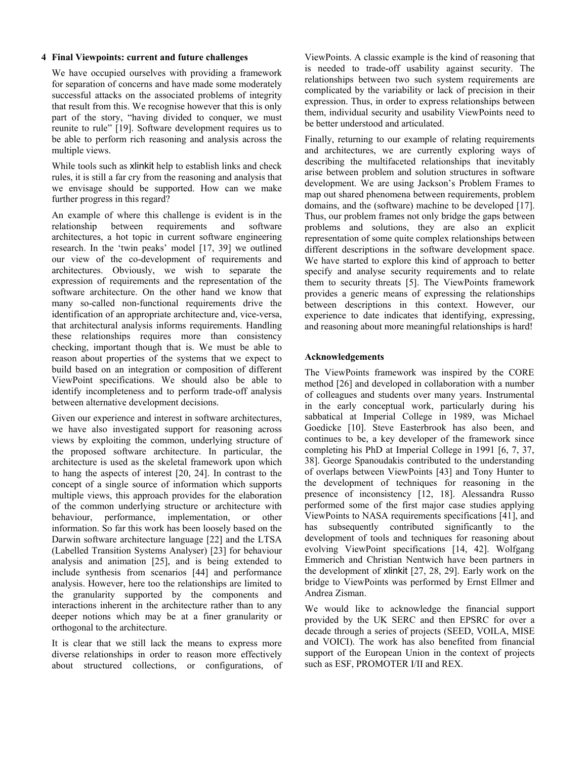#### **4 Final Viewpoints: current and future challenges**

We have occupied ourselves with providing a framework for separation of concerns and have made some moderately successful attacks on the associated problems of integrity that result from this. We recognise however that this is only part of the story, "having divided to conquer, we must reunite to rule" [19]. Software development requires us to be able to perform rich reasoning and analysis across the multiple views.

While tools such as xlinkit help to establish links and check rules, it is still a far cry from the reasoning and analysis that we envisage should be supported. How can we make further progress in this regard?

An example of where this challenge is evident is in the relationship between requirements and software architectures, a hot topic in current software engineering research. In the 'twin peaks' model [17, 39] we outlined our view of the co-development of requirements and architectures. Obviously, we wish to separate the expression of requirements and the representation of the software architecture. On the other hand we know that many so-called non-functional requirements drive the identification of an appropriate architecture and, vice-versa, that architectural analysis informs requirements. Handling these relationships requires more than consistency checking, important though that is. We must be able to reason about properties of the systems that we expect to build based on an integration or composition of different ViewPoint specifications. We should also be able to identify incompleteness and to perform trade-off analysis between alternative development decisions.

Given our experience and interest in software architectures, we have also investigated support for reasoning across views by exploiting the common, underlying structure of the proposed software architecture. In particular, the architecture is used as the skeletal framework upon which to hang the aspects of interest [20, 24]. In contrast to the concept of a single source of information which supports multiple views, this approach provides for the elaboration of the common underlying structure or architecture with behaviour, performance, implementation, or other information. So far this work has been loosely based on the Darwin software architecture language [22] and the LTSA (Labelled Transition Systems Analyser) [23] for behaviour analysis and animation [25], and is being extended to include synthesis from scenarios [44] and performance analysis. However, here too the relationships are limited to the granularity supported by the components and interactions inherent in the architecture rather than to any deeper notions which may be at a finer granularity or orthogonal to the architecture.

It is clear that we still lack the means to express more diverse relationships in order to reason more effectively about structured collections, or configurations, of

ViewPoints. A classic example is the kind of reasoning that is needed to trade-off usability against security. The relationships between two such system requirements are complicated by the variability or lack of precision in their expression. Thus, in order to express relationships between them, individual security and usability ViewPoints need to be better understood and articulated.

Finally, returning to our example of relating requirements and architectures, we are currently exploring ways of describing the multifaceted relationships that inevitably arise between problem and solution structures in software development. We are using Jackson's Problem Frames to map out shared phenomena between requirements, problem domains, and the (software) machine to be developed [17]. Thus, our problem frames not only bridge the gaps between problems and solutions, they are also an explicit representation of some quite complex relationships between different descriptions in the software development space. We have started to explore this kind of approach to better specify and analyse security requirements and to relate them to security threats [5]. The ViewPoints framework provides a generic means of expressing the relationships between descriptions in this context. However, our experience to date indicates that identifying, expressing, and reasoning about more meaningful relationships is hard!

## **Acknowledgements**

The ViewPoints framework was inspired by the CORE method [26] and developed in collaboration with a number of colleagues and students over many years. Instrumental in the early conceptual work, particularly during his sabbatical at Imperial College in 1989, was Michael Goedicke [10]. Steve Easterbrook has also been, and continues to be, a key developer of the framework since completing his PhD at Imperial College in 1991 [6, 7, 37, 38]. George Spanoudakis contributed to the understanding of overlaps between ViewPoints [43] and Tony Hunter to the development of techniques for reasoning in the presence of inconsistency [12, 18]. Alessandra Russo performed some of the first major case studies applying ViewPoints to NASA requirements specifications [41], and has subsequently contributed significantly to the development of tools and techniques for reasoning about evolving ViewPoint specifications [14, 42]. Wolfgang Emmerich and Christian Nentwich have been partners in the development of xlinkit [27, 28, 29]. Early work on the bridge to ViewPoints was performed by Ernst Ellmer and Andrea Zisman.

We would like to acknowledge the financial support provided by the UK SERC and then EPSRC for over a decade through a series of projects (SEED, VOILA, MISE and VOICI). The work has also benefited from financial support of the European Union in the context of projects such as ESF, PROMOTER I/II and REX.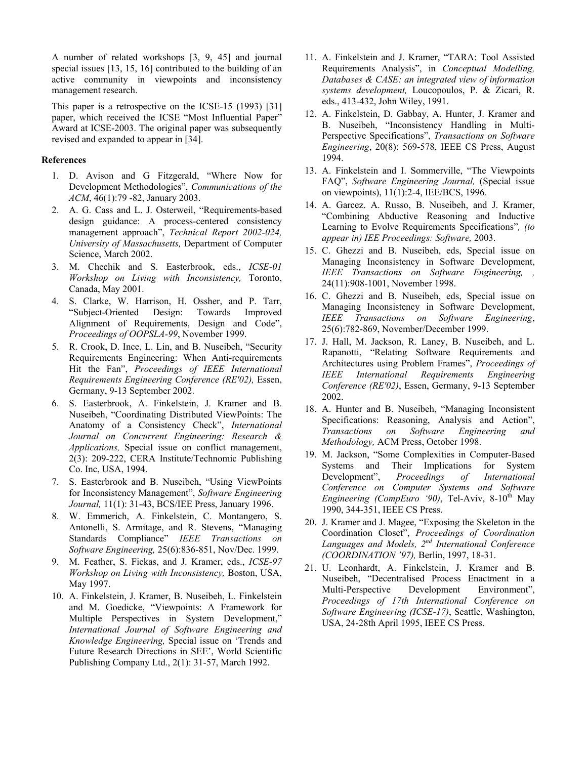A number of related workshops [3, 9, 45] and journal special issues [13, 15, 16] contributed to the building of an active community in viewpoints and inconsistency management research.

This paper is a retrospective on the ICSE-15 (1993) [31] paper, which received the ICSE "Most Influential Paper" Award at ICSE-2003. The original paper was subsequently revised and expanded to appear in [34].

### **References**

- 1. D. Avison and G Fitzgerald, "Where Now for Development Methodologies", *Communications of the*
- 2. A. G. Cass and L. J. Osterweil, "Requirements-based design guidance: A process-centered consistency management approach", *Technical Report 2002-024, University of Massachusetts,* Department of Computer
- 3. M. Chechik and S. Easterbrook, eds., *ICSE-01 Workshop on Living with Inconsistency,* Toronto,
- 4. S. Clarke, W. Harrison, H. Ossher, and P. Tarr, "Subject-Oriented Design: Towards Improved Alignment of Requirements, Design and Code",
- 5. R. Crook, D. Ince, L. Lin, and B. Nuseibeh, "[Security](http://mcs.open.ac.uk/ban25/papers/re02.crook.pdf) [Requirements Engineering: When Anti-requirements](http://mcs.open.ac.uk/ban25/papers/re02.crook.pdf)  [Hit the Fan](http://mcs.open.ac.uk/ban25/papers/re02.crook.pdf)", *Proceedings of IEEE International Requirements Engineering Conference (RE'02),* Essen, Germany, 9-13 September 2002.
- 6. S. Easterbrook, A. Finkelstein, J. Kramer and B. Nuseibeh, "Coordinating [Distributed ViewPoints: The](http://www-dse.doc.ic.ac.uk/%7Eban/pubs/cera94.pdf)  [Anatomy of a Consistency Check",](http://www-dse.doc.ic.ac.uk/%7Eban/pubs/cera94.pdf) *International Journal on Concurrent Engineering: Research & Applications,* Special issue on conflict management, 2(3): 209-222, CERA Institute/Technomic Publishing Co. Inc, USA, 1994.
- 7. S. Easterbrook and B. Nuseibeh, "Using [ViewPoints](http://www-dse.doc.ic.ac.uk/%7Eban/pubs/sej95.pdf)  [for Inconsistency Management",](http://www-dse.doc.ic.ac.uk/%7Eban/pubs/sej95.pdf) *Software Engineering Journal,* 11(1): 31-43, BCS/IEE Press, January 1996.
- 8. W. Emmerich, A. Finkelstein, C. Montangero, S. Antonelli, S. Armitage, and R. Stevens, "Managing Standards Compliance" *IEEE Transactions on Software Engineering,* 25(6):836-851, Nov/Dec. 1999.
- 9. *(COORDINATION '97),* Berlin, 1997, 18-31. M. Feather, S. Fickas, and J. Kramer, eds., *ICSE-97 Workshop on Living with Inconsistency,* Boston, USA, May 1997.
- 10. A. Finkelstein, J. Kramer, B. Nuseibeh, L. Finkelstein and M. Goedicke, "[Viewpoints: A Framework for](http://www-dse.doc.ic.ac.uk/%7Eban/pubs/ijseke92.pdf) [Multiple Perspectives in System Development,"](http://www-dse.doc.ic.ac.uk/%7Eban/pubs/ijseke92.pdf) *International Journal of Software Engineering and Knowledge Engineering,* Special issue on 'Trends and Future Research Directions in SEE', World Scientific Publishing Company Ltd., 2(1): 31-57, March 1992.
- 11. A. Finkelstein and J. Kramer, "TARA: Tool Assisted Requirements Analysis", in *Conceptual Modelling, Databases & CASE: an integrated view of information systems development,* Loucopoulos, P. & Zicari, R. eds., 413-432, John Wiley, 1991.
- 12. A. Finkelstein, D. Gabbay, A. Hunter, J. Kramer and B. Nuseibeh, "[Inconsistency Handling in Multi-](http://www-dse.doc.ic.ac.uk/%7Eban/pubs/tse94.esec.pdf)Perspective [Specifications",](http://www-dse.doc.ic.ac.uk/%7Eban/pubs/tse94.esec.pdf) *Transactions on Software Engineering*, 20(8): 569-578, IEEE CS Press, August 1994.
- 13. A. Finkelstein and I. Sommerville, "The Viewpoints FAQ", *Software Engineering Journal,* (Special issue on viewpoints), 11(1):2-4, IEE/BCS, 1996.
- ACM, 46(1):79 -82, January 2003.<br>A. G. Gass and J. J. Ostamusil. "Bassiments based 14. A. Garcez. A. Russo, B. Nuseibeh, and J. Kramer, ["Combining Abductive Reasoning and Inductive](http://mcs.open.ac.uk/ban25/papers/sej2003.pdf)  [Learning to Evolve Requirements Specifications](http://mcs.open.ac.uk/ban25/papers/sej2003.pdf)"*, (to appear in) IEE Proceedings: Software,* 2003.
- 15. Science, March 2002. C. Ghezzi and B. Nuseibeh, eds, Special issue on Managing Inconsistency in Software Development, *IEEE Transactions on Software Engineering,* 24(11):908-1001, November 1998.
- 16. Canada, May 2001. C. Ghezzi and B. Nuseibeh, eds, Special issue on Managing Inconsistency in Software Development, *IEEE Transactions on Software Engineering*, 25(6):782-869, November/December 1999.
- *Proceedings of OOPSLA-99*, November 1999.<br>**P. Graak D. Jrac, J. J.in. and B. Nuseibeh, "Sequrity.** J. Hall, M. Jackson, R. Laney, B. Nuseibeh, and L. Rapanotti, "[Relating Software Requirements and](http://mcs.open.ac.uk/ban25/papers/re02.hall.pdf)  Architectures [using Problem Frames"](http://mcs.open.ac.uk/ban25/papers/re02.hall.pdf), *Proceedings of IEEE International Requirements Engineering Conference (RE'02)*, Essen, Germany, 9-13 September 2002.
	- 18. A. Hunter and B. Nuseibeh, "Managing [Inconsistent](http://www-dse.doc.ic.ac.uk/%7Eban/pubs/tosem98.pdf) [Specifications: Reasoning, Analysis and Action](http://www-dse.doc.ic.ac.uk/%7Eban/pubs/tosem98.pdf)", *Transactions on Software Engineering and Methodology,* ACM Press, October 1998.
	- 19. M. Jackson, "Some Complexities in Computer-Based Systems and Their Implications for System Development", *Proceedings of International Conference on Computer Systems and Software Engineering (CompEuro '90)*, Tel-Aviv, 8-10<sup>th</sup> May 1990, 344-351, IEEE CS Press.
	- 20. J. Kramer and J. Magee, "Exposing the Skeleton in the Coordination Closet", *Proceedings of Coordination*  Languages and Models, 2<sup>nd</sup> International Conference (COORDINATION '97), Berlin, 1997, 18-31.
	- 21. U. Leonhardt, A. Finkelstein, J. Kramer and B. Nuseibeh, "[Decentralised Process Enactment in a](http://www-dse.doc.ic.ac.uk/%7Eban/pubs/icse17.pdf) [Multi-Perspective Development Environment",](http://www-dse.doc.ic.ac.uk/%7Eban/pubs/icse17.pdf) *Proceedings of 17th International Conference on Software Engineering (ICSE-17)*, Seattle, Washington, USA, 24-28th April 1995, IEEE CS Press.